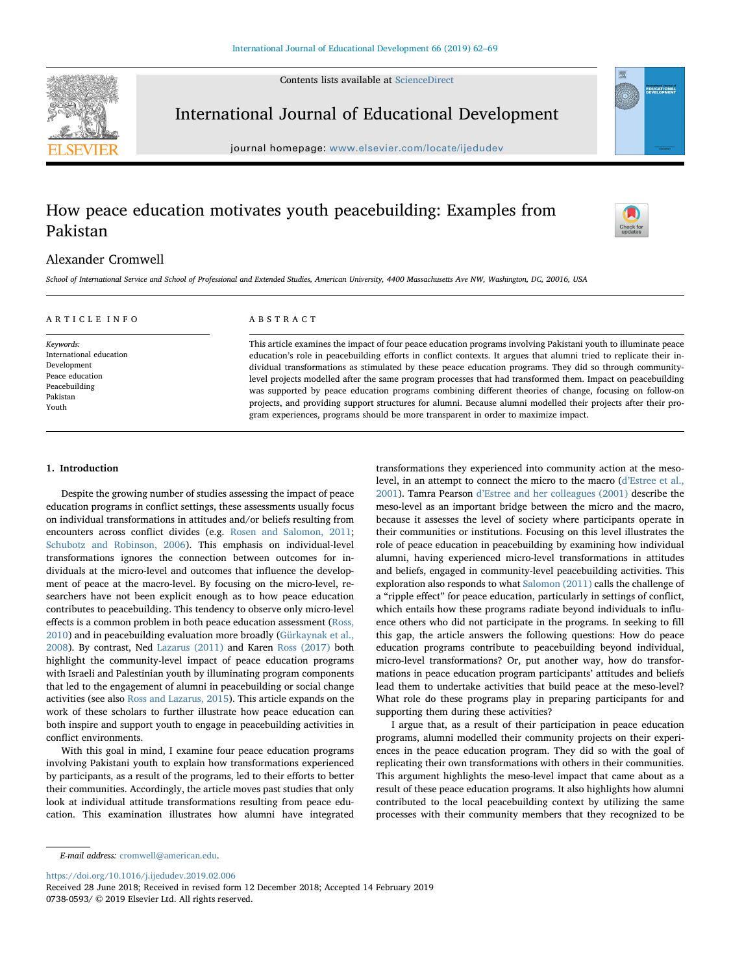Contents lists available at [ScienceDirect](http://www.sciencedirect.com/science/journal/07380593)



International Journal of Educational Development

journal homepage: [www.elsevier.com/locate/ijedudev](https://www.elsevier.com/locate/ijedudev)

# How peace education motivates youth peacebuilding: Examples from Pakistan



## Alexander Cromwell

School of International Service and School of Professional and Extended Studies, American University, 4400 Massachusetts Ave NW, Washington, DC, 20016, USA

| ARTICLE INFO            | ABSTRACT                                                                                                           |  |  |
|-------------------------|--------------------------------------------------------------------------------------------------------------------|--|--|
| Keywords:               | This article examines the impact of four peace education programs involving Pakistani youth to illuminate peace    |  |  |
| International education | education's role in peacebuilding efforts in conflict contexts. It argues that alumni tried to replicate their in- |  |  |
| Development             | dividual transformations as stimulated by these peace education programs. They did so through community-           |  |  |
| Peace education         | level projects modelled after the same program processes that had transformed them. Impact on peacebuilding        |  |  |
| Peacebuilding           | was supported by peace education programs combining different theories of change, focusing on follow-on            |  |  |
| Pakistan                | projects, and providing support structures for alumni. Because alumni modelled their projects after their pro-     |  |  |
| Youth                   | gram experiences, programs should be more transparent in order to maximize impact.                                 |  |  |

## 1. Introduction

Despite the growing number of studies assessing the impact of peace education programs in conflict settings, these assessments usually focus on individual transformations in attitudes and/or beliefs resulting from encounters across conflict divides (e.g. [Rosen and Salomon, 2011](#page-6-0); [Schubotz and Robinson, 2006](#page-7-0)). This emphasis on individual-level transformations ignores the connection between outcomes for individuals at the micro-level and outcomes that influence the development of peace at the macro-level. By focusing on the micro-level, researchers have not been explicit enough as to how peace education contributes to peacebuilding. This tendency to observe only micro-level effects is a common problem in both peace education assessment ([Ross,](#page-6-1) [2010\)](#page-6-1) and in peacebuilding evaluation more broadly [\(Gürkaynak et al.,](#page-6-2) [2008\)](#page-6-2). By contrast, Ned [Lazarus \(2011\)](#page-6-3) and Karen [Ross \(2017\)](#page-6-4) both highlight the community-level impact of peace education programs with Israeli and Palestinian youth by illuminating program components that led to the engagement of alumni in peacebuilding or social change activities (see also [Ross and Lazarus, 2015](#page-6-5)). This article expands on the work of these scholars to further illustrate how peace education can both inspire and support youth to engage in peacebuilding activities in conflict environments.

With this goal in mind, I examine four peace education programs involving Pakistani youth to explain how transformations experienced by participants, as a result of the programs, led to their efforts to better their communities. Accordingly, the article moves past studies that only look at individual attitude transformations resulting from peace education. This examination illustrates how alumni have integrated

transformations they experienced into community action at the mesolevel, in an attempt to connect the micro to the macro (d'[Estree et al.,](#page-6-6) [2001\)](#page-6-6). Tamra Pearson d'[Estree and her colleagues \(2001\)](#page-6-6) describe the meso-level as an important bridge between the micro and the macro, because it assesses the level of society where participants operate in their communities or institutions. Focusing on this level illustrates the role of peace education in peacebuilding by examining how individual alumni, having experienced micro-level transformations in attitudes and beliefs, engaged in community-level peacebuilding activities. This exploration also responds to what [Salomon \(2011\)](#page-7-1) calls the challenge of a "ripple effect" for peace education, particularly in settings of conflict, which entails how these programs radiate beyond individuals to influence others who did not participate in the programs. In seeking to fill this gap, the article answers the following questions: How do peace education programs contribute to peacebuilding beyond individual, micro-level transformations? Or, put another way, how do transformations in peace education program participants' attitudes and beliefs lead them to undertake activities that build peace at the meso-level? What role do these programs play in preparing participants for and supporting them during these activities?

I argue that, as a result of their participation in peace education programs, alumni modelled their community projects on their experiences in the peace education program. They did so with the goal of replicating their own transformations with others in their communities. This argument highlights the meso-level impact that came about as a result of these peace education programs. It also highlights how alumni contributed to the local peacebuilding context by utilizing the same processes with their community members that they recognized to be

<https://doi.org/10.1016/j.ijedudev.2019.02.006>

E-mail address: [cromwell@american.edu.](mailto:cromwell@american.edu)

Received 28 June 2018; Received in revised form 12 December 2018; Accepted 14 February 2019 0738-0593/ © 2019 Elsevier Ltd. All rights reserved.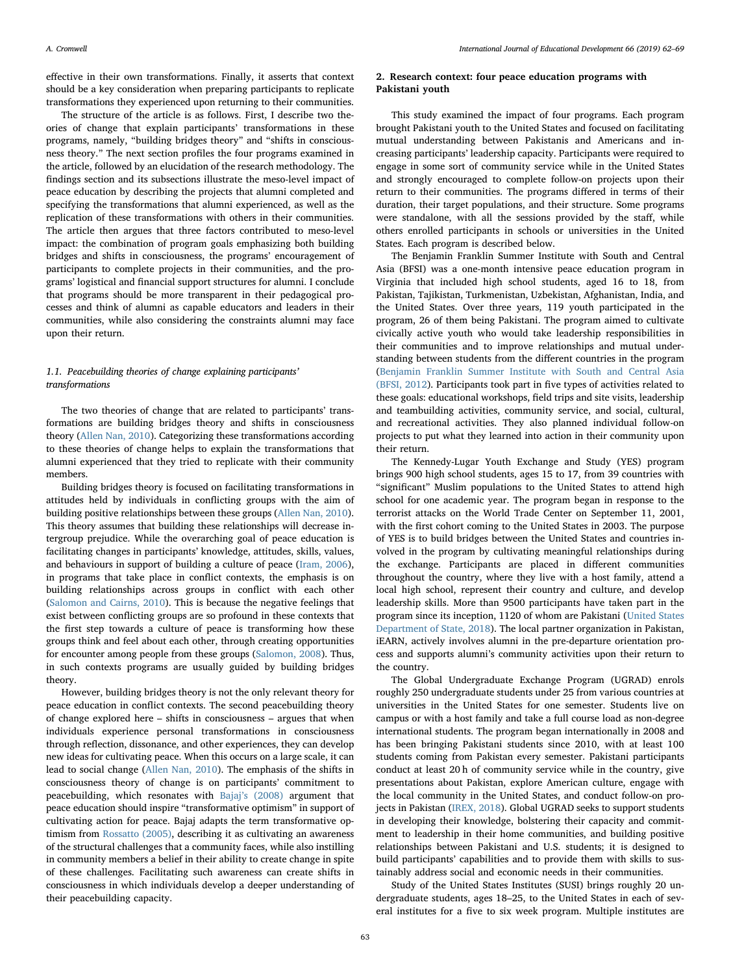effective in their own transformations. Finally, it asserts that context should be a key consideration when preparing participants to replicate transformations they experienced upon returning to their communities.

The structure of the article is as follows. First, I describe two theories of change that explain participants' transformations in these programs, namely, "building bridges theory" and "shifts in consciousness theory." The next section profiles the four programs examined in the article, followed by an elucidation of the research methodology. The findings section and its subsections illustrate the meso-level impact of peace education by describing the projects that alumni completed and specifying the transformations that alumni experienced, as well as the replication of these transformations with others in their communities. The article then argues that three factors contributed to meso-level impact: the combination of program goals emphasizing both building bridges and shifts in consciousness, the programs' encouragement of participants to complete projects in their communities, and the programs' logistical and financial support structures for alumni. I conclude that programs should be more transparent in their pedagogical processes and think of alumni as capable educators and leaders in their communities, while also considering the constraints alumni may face upon their return.

## 1.1. Peacebuilding theories of change explaining participants' transformations

The two theories of change that are related to participants' transformations are building bridges theory and shifts in consciousness theory [\(Allen Nan, 2010\)](#page-6-7). Categorizing these transformations according to these theories of change helps to explain the transformations that alumni experienced that they tried to replicate with their community members.

Building bridges theory is focused on facilitating transformations in attitudes held by individuals in conflicting groups with the aim of building positive relationships between these groups [\(Allen Nan, 2010](#page-6-7)). This theory assumes that building these relationships will decrease intergroup prejudice. While the overarching goal of peace education is facilitating changes in participants' knowledge, attitudes, skills, values, and behaviours in support of building a culture of peace [\(Iram, 2006](#page-6-8)), in programs that take place in conflict contexts, the emphasis is on building relationships across groups in conflict with each other ([Salomon and Cairns, 2010\)](#page-7-2). This is because the negative feelings that exist between conflicting groups are so profound in these contexts that the first step towards a culture of peace is transforming how these groups think and feel about each other, through creating opportunities for encounter among people from these groups ([Salomon, 2008\)](#page-6-9). Thus, in such contexts programs are usually guided by building bridges theory.

However, building bridges theory is not the only relevant theory for peace education in conflict contexts. The second peacebuilding theory of change explored here – shifts in consciousness – argues that when individuals experience personal transformations in consciousness through reflection, dissonance, and other experiences, they can develop new ideas for cultivating peace. When this occurs on a large scale, it can lead to social change ([Allen Nan, 2010](#page-6-7)). The emphasis of the shifts in consciousness theory of change is on participants' commitment to peacebuilding, which resonates with Bajaj'[s \(2008\)](#page-6-10) argument that peace education should inspire "transformative optimism" in support of cultivating action for peace. Bajaj adapts the term transformative optimism from [Rossatto \(2005\),](#page-6-11) describing it as cultivating an awareness of the structural challenges that a community faces, while also instilling in community members a belief in their ability to create change in spite of these challenges. Facilitating such awareness can create shifts in consciousness in which individuals develop a deeper understanding of their peacebuilding capacity.

## <span id="page-1-0"></span>2. Research context: four peace education programs with Pakistani youth

This study examined the impact of four programs. Each program brought Pakistani youth to the United States and focused on facilitating mutual understanding between Pakistanis and Americans and increasing participants' leadership capacity. Participants were required to engage in some sort of community service while in the United States and strongly encouraged to complete follow-on projects upon their return to their communities. The programs differed in terms of their duration, their target populations, and their structure. Some programs were standalone, with all the sessions provided by the staff, while others enrolled participants in schools or universities in the United States. Each program is described below.

The Benjamin Franklin Summer Institute with South and Central Asia (BFSI) was a one-month intensive peace education program in Virginia that included high school students, aged 16 to 18, from Pakistan, Tajikistan, Turkmenistan, Uzbekistan, Afghanistan, India, and the United States. Over three years, 119 youth participated in the program, 26 of them being Pakistani. The program aimed to cultivate civically active youth who would take leadership responsibilities in their communities and to improve relationships and mutual understanding between students from the different countries in the program ([Benjamin Franklin Summer Institute with South and Central Asia](#page-6-12) [\(BFSI, 2012](#page-6-12)). Participants took part in five types of activities related to these goals: educational workshops, field trips and site visits, leadership and teambuilding activities, community service, and social, cultural, and recreational activities. They also planned individual follow-on projects to put what they learned into action in their community upon their return.

The Kennedy-Lugar Youth Exchange and Study (YES) program brings 900 high school students, ages 15 to 17, from 39 countries with "significant" Muslim populations to the United States to attend high school for one academic year. The program began in response to the terrorist attacks on the World Trade Center on September 11, 2001, with the first cohort coming to the United States in 2003. The purpose of YES is to build bridges between the United States and countries involved in the program by cultivating meaningful relationships during the exchange. Participants are placed in different communities throughout the country, where they live with a host family, attend a local high school, represent their country and culture, and develop leadership skills. More than 9500 participants have taken part in the program since its inception, 1120 of whom are Pakistani [\(United States](#page-7-3) [Department of State, 2018\)](#page-7-3). The local partner organization in Pakistan, iEARN, actively involves alumni in the pre-departure orientation process and supports alumni's community activities upon their return to the country.

The Global Undergraduate Exchange Program (UGRAD) enrols roughly 250 undergraduate students under 25 from various countries at universities in the United States for one semester. Students live on campus or with a host family and take a full course load as non-degree international students. The program began internationally in 2008 and has been bringing Pakistani students since 2010, with at least 100 students coming from Pakistan every semester. Pakistani participants conduct at least 20 h of community service while in the country, give presentations about Pakistan, explore American culture, engage with the local community in the United States, and conduct follow-on projects in Pakistan [\(IREX, 2018](#page-6-13)). Global UGRAD seeks to support students in developing their knowledge, bolstering their capacity and commitment to leadership in their home communities, and building positive relationships between Pakistani and U.S. students; it is designed to build participants' capabilities and to provide them with skills to sustainably address social and economic needs in their communities.

Study of the United States Institutes (SUSI) brings roughly 20 undergraduate students, ages 18–25, to the United States in each of several institutes for a five to six week program. Multiple institutes are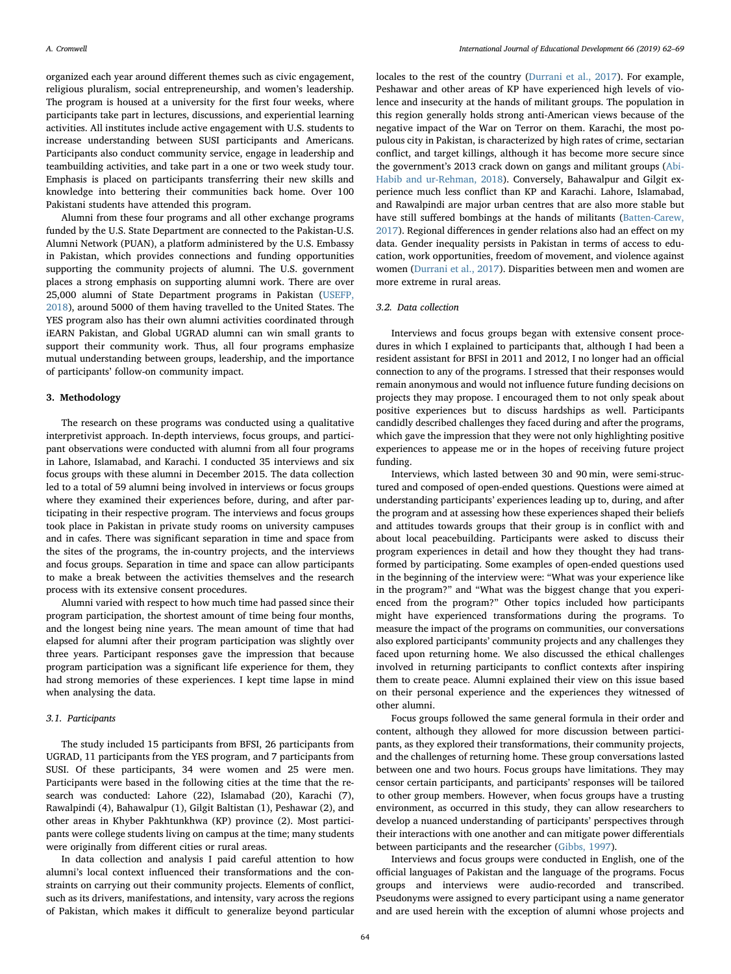organized each year around different themes such as civic engagement, religious pluralism, social entrepreneurship, and women's leadership. The program is housed at a university for the first four weeks, where participants take part in lectures, discussions, and experiential learning activities. All institutes include active engagement with U.S. students to increase understanding between SUSI participants and Americans. Participants also conduct community service, engage in leadership and teambuilding activities, and take part in a one or two week study tour. Emphasis is placed on participants transferring their new skills and knowledge into bettering their communities back home. Over 100 Pakistani students have attended this program.

Alumni from these four programs and all other exchange programs funded by the U.S. State Department are connected to the Pakistan-U.S. Alumni Network (PUAN), a platform administered by the U.S. Embassy in Pakistan, which provides connections and funding opportunities supporting the community projects of alumni. The U.S. government places a strong emphasis on supporting alumni work. There are over 25,000 alumni of State Department programs in Pakistan [\(USEFP,](#page-7-4) [2018\)](#page-7-4), around 5000 of them having travelled to the United States. The YES program also has their own alumni activities coordinated through iEARN Pakistan, and Global UGRAD alumni can win small grants to support their community work. Thus, all four programs emphasize mutual understanding between groups, leadership, and the importance of participants' follow-on community impact.

#### 3. Methodology

The research on these programs was conducted using a qualitative interpretivist approach. In-depth interviews, focus groups, and participant observations were conducted with alumni from all four programs in Lahore, Islamabad, and Karachi. I conducted 35 interviews and six focus groups with these alumni in December 2015. The data collection led to a total of 59 alumni being involved in interviews or focus groups where they examined their experiences before, during, and after participating in their respective program. The interviews and focus groups took place in Pakistan in private study rooms on university campuses and in cafes. There was significant separation in time and space from the sites of the programs, the in-country projects, and the interviews and focus groups. Separation in time and space can allow participants to make a break between the activities themselves and the research process with its extensive consent procedures.

Alumni varied with respect to how much time had passed since their program participation, the shortest amount of time being four months, and the longest being nine years. The mean amount of time that had elapsed for alumni after their program participation was slightly over three years. Participant responses gave the impression that because program participation was a significant life experience for them, they had strong memories of these experiences. I kept time lapse in mind when analysing the data.

## 3.1. Participants

The study included 15 participants from BFSI, 26 participants from UGRAD, 11 participants from the YES program, and 7 participants from SUSI. Of these participants, 34 were women and 25 were men. Participants were based in the following cities at the time that the research was conducted: Lahore (22), Islamabad (20), Karachi (7), Rawalpindi (4), Bahawalpur (1), Gilgit Baltistan (1), Peshawar (2), and other areas in Khyber Pakhtunkhwa (KP) province (2). Most participants were college students living on campus at the time; many students were originally from different cities or rural areas.

In data collection and analysis I paid careful attention to how alumni's local context influenced their transformations and the constraints on carrying out their community projects. Elements of conflict, such as its drivers, manifestations, and intensity, vary across the regions of Pakistan, which makes it difficult to generalize beyond particular locales to the rest of the country [\(Durrani et al., 2017\)](#page-6-14). For example, Peshawar and other areas of KP have experienced high levels of violence and insecurity at the hands of militant groups. The population in this region generally holds strong anti-American views because of the negative impact of the War on Terror on them. Karachi, the most populous city in Pakistan, is characterized by high rates of crime, sectarian conflict, and target killings, although it has become more secure since the government's 2013 crack down on gangs and militant groups ([Abi-](#page-6-15)[Habib and ur-Rehman, 2018\)](#page-6-15). Conversely, Bahawalpur and Gilgit experience much less conflict than KP and Karachi. Lahore, Islamabad, and Rawalpindi are major urban centres that are also more stable but have still suffered bombings at the hands of militants ([Batten-Carew,](#page-6-16) [2017\)](#page-6-16). Regional differences in gender relations also had an effect on my data. Gender inequality persists in Pakistan in terms of access to education, work opportunities, freedom of movement, and violence against women ([Durrani et al., 2017\)](#page-6-14). Disparities between men and women are more extreme in rural areas.

#### 3.2. Data collection

Interviews and focus groups began with extensive consent procedures in which I explained to participants that, although I had been a resident assistant for BFSI in 2011 and 2012, I no longer had an official connection to any of the programs. I stressed that their responses would remain anonymous and would not influence future funding decisions on projects they may propose. I encouraged them to not only speak about positive experiences but to discuss hardships as well. Participants candidly described challenges they faced during and after the programs, which gave the impression that they were not only highlighting positive experiences to appease me or in the hopes of receiving future project funding.

Interviews, which lasted between 30 and 90 min, were semi-structured and composed of open-ended questions. Questions were aimed at understanding participants' experiences leading up to, during, and after the program and at assessing how these experiences shaped their beliefs and attitudes towards groups that their group is in conflict with and about local peacebuilding. Participants were asked to discuss their program experiences in detail and how they thought they had transformed by participating. Some examples of open-ended questions used in the beginning of the interview were: "What was your experience like in the program?" and "What was the biggest change that you experienced from the program?" Other topics included how participants might have experienced transformations during the programs. To measure the impact of the programs on communities, our conversations also explored participants' community projects and any challenges they faced upon returning home. We also discussed the ethical challenges involved in returning participants to conflict contexts after inspiring them to create peace. Alumni explained their view on this issue based on their personal experience and the experiences they witnessed of other alumni.

Focus groups followed the same general formula in their order and content, although they allowed for more discussion between participants, as they explored their transformations, their community projects, and the challenges of returning home. These group conversations lasted between one and two hours. Focus groups have limitations. They may censor certain participants, and participants' responses will be tailored to other group members. However, when focus groups have a trusting environment, as occurred in this study, they can allow researchers to develop a nuanced understanding of participants' perspectives through their interactions with one another and can mitigate power differentials between participants and the researcher [\(Gibbs, 1997\)](#page-6-17).

Interviews and focus groups were conducted in English, one of the official languages of Pakistan and the language of the programs. Focus groups and interviews were audio-recorded and transcribed. Pseudonyms were assigned to every participant using a name generator and are used herein with the exception of alumni whose projects and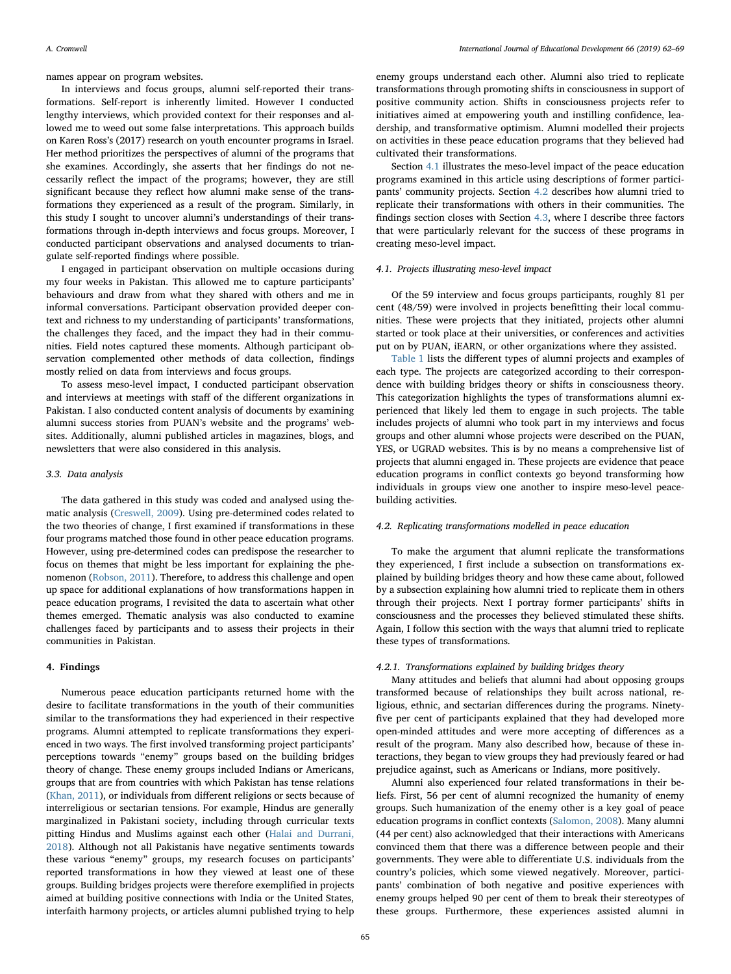names appear on program websites.

In interviews and focus groups, alumni self-reported their transformations. Self-report is inherently limited. However I conducted lengthy interviews, which provided context for their responses and allowed me to weed out some false interpretations. This approach builds on Karen Ross's (2017) research on youth encounter programs in Israel. Her method prioritizes the perspectives of alumni of the programs that she examines. Accordingly, she asserts that her findings do not necessarily reflect the impact of the programs; however, they are still significant because they reflect how alumni make sense of the transformations they experienced as a result of the program. Similarly, in this study I sought to uncover alumni's understandings of their transformations through in-depth interviews and focus groups. Moreover, I conducted participant observations and analysed documents to triangulate self-reported findings where possible.

I engaged in participant observation on multiple occasions during my four weeks in Pakistan. This allowed me to capture participants' behaviours and draw from what they shared with others and me in informal conversations. Participant observation provided deeper context and richness to my understanding of participants' transformations, the challenges they faced, and the impact they had in their communities. Field notes captured these moments. Although participant observation complemented other methods of data collection, findings mostly relied on data from interviews and focus groups.

To assess meso-level impact, I conducted participant observation and interviews at meetings with staff of the different organizations in Pakistan. I also conducted content analysis of documents by examining alumni success stories from PUAN's website and the programs' websites. Additionally, alumni published articles in magazines, blogs, and newsletters that were also considered in this analysis.

## 3.3. Data analysis

The data gathered in this study was coded and analysed using thematic analysis [\(Creswell, 2009\)](#page-6-18). Using pre-determined codes related to the two theories of change, I first examined if transformations in these four programs matched those found in other peace education programs. However, using pre-determined codes can predispose the researcher to focus on themes that might be less important for explaining the phenomenon [\(Robson, 2011](#page-6-19)). Therefore, to address this challenge and open up space for additional explanations of how transformations happen in peace education programs, I revisited the data to ascertain what other themes emerged. Thematic analysis was also conducted to examine challenges faced by participants and to assess their projects in their communities in Pakistan.

#### 4. Findings

Numerous peace education participants returned home with the desire to facilitate transformations in the youth of their communities similar to the transformations they had experienced in their respective programs. Alumni attempted to replicate transformations they experienced in two ways. The first involved transforming project participants' perceptions towards "enemy" groups based on the building bridges theory of change. These enemy groups included Indians or Americans, groups that are from countries with which Pakistan has tense relations ([Khan, 2011](#page-6-20)), or individuals from different religions or sects because of interreligious or sectarian tensions. For example, Hindus are generally marginalized in Pakistani society, including through curricular texts pitting Hindus and Muslims against each other [\(Halai and Durrani,](#page-6-21) [2018\)](#page-6-21). Although not all Pakistanis have negative sentiments towards these various "enemy" groups, my research focuses on participants' reported transformations in how they viewed at least one of these groups. Building bridges projects were therefore exemplified in projects aimed at building positive connections with India or the United States, interfaith harmony projects, or articles alumni published trying to help

enemy groups understand each other. Alumni also tried to replicate transformations through promoting shifts in consciousness in support of positive community action. Shifts in consciousness projects refer to initiatives aimed at empowering youth and instilling confidence, leadership, and transformative optimism. Alumni modelled their projects on activities in these peace education programs that they believed had cultivated their transformations.

Section [4.1](#page-3-0) illustrates the meso-level impact of the peace education programs examined in this article using descriptions of former participants' community projects. Section [4.2](#page-3-1) describes how alumni tried to replicate their transformations with others in their communities. The findings section closes with Section [4.3,](#page-5-0) where I describe three factors that were particularly relevant for the success of these programs in creating meso-level impact.

## <span id="page-3-0"></span>4.1. Projects illustrating meso-level impact

Of the 59 interview and focus groups participants, roughly 81 per cent (48/59) were involved in projects benefitting their local communities. These were projects that they initiated, projects other alumni started or took place at their universities, or conferences and activities put on by PUAN, iEARN, or other organizations where they assisted.

[Table 1](#page-4-0) lists the different types of alumni projects and examples of each type. The projects are categorized according to their correspondence with building bridges theory or shifts in consciousness theory. This categorization highlights the types of transformations alumni experienced that likely led them to engage in such projects. The table includes projects of alumni who took part in my interviews and focus groups and other alumni whose projects were described on the PUAN, YES, or UGRAD websites. This is by no means a comprehensive list of projects that alumni engaged in. These projects are evidence that peace education programs in conflict contexts go beyond transforming how individuals in groups view one another to inspire meso-level peacebuilding activities.

## <span id="page-3-1"></span>4.2. Replicating transformations modelled in peace education

To make the argument that alumni replicate the transformations they experienced, I first include a subsection on transformations explained by building bridges theory and how these came about, followed by a subsection explaining how alumni tried to replicate them in others through their projects. Next I portray former participants' shifts in consciousness and the processes they believed stimulated these shifts. Again, I follow this section with the ways that alumni tried to replicate these types of transformations.

#### 4.2.1. Transformations explained by building bridges theory

Many attitudes and beliefs that alumni had about opposing groups transformed because of relationships they built across national, religious, ethnic, and sectarian differences during the programs. Ninetyfive per cent of participants explained that they had developed more open-minded attitudes and were more accepting of differences as a result of the program. Many also described how, because of these interactions, they began to view groups they had previously feared or had prejudice against, such as Americans or Indians, more positively.

Alumni also experienced four related transformations in their beliefs. First, 56 per cent of alumni recognized the humanity of enemy groups. Such humanization of the enemy other is a key goal of peace education programs in conflict contexts ([Salomon, 2008\)](#page-6-9). Many alumni (44 per cent) also acknowledged that their interactions with Americans convinced them that there was a difference between people and their governments. They were able to differentiate U.S. individuals from the country's policies, which some viewed negatively. Moreover, participants' combination of both negative and positive experiences with enemy groups helped 90 per cent of them to break their stereotypes of these groups. Furthermore, these experiences assisted alumni in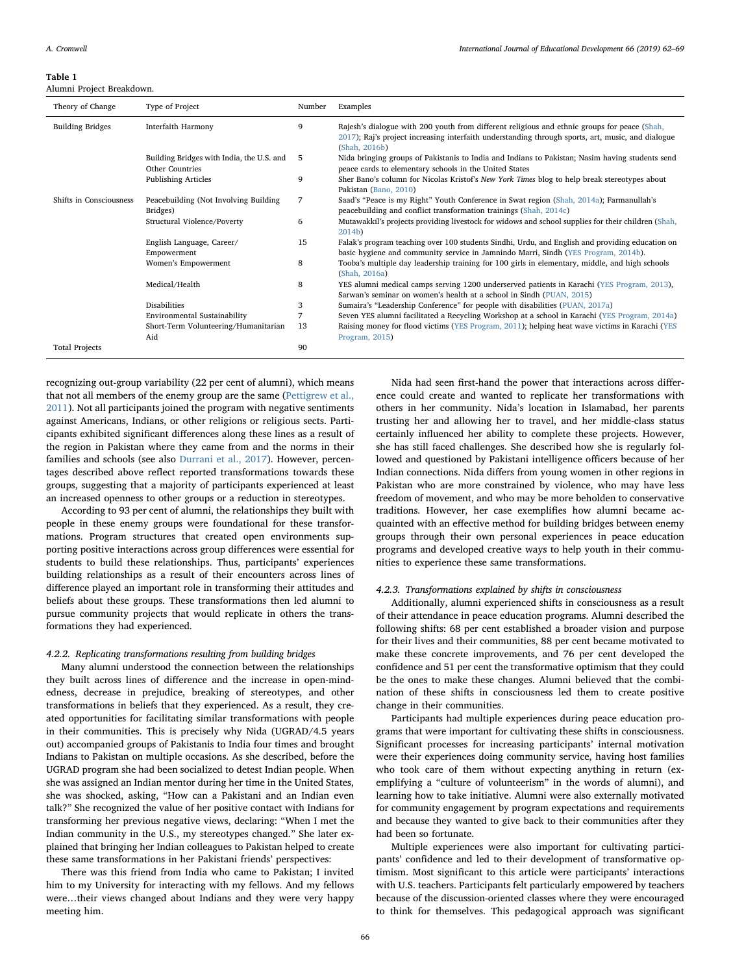#### <span id="page-4-0"></span>Table 1

Alumni Project Breakdown.

| Theory of Change        | Type of Project                                                     | Number | Examples                                                                                                                                                                                                           |
|-------------------------|---------------------------------------------------------------------|--------|--------------------------------------------------------------------------------------------------------------------------------------------------------------------------------------------------------------------|
| <b>Building Bridges</b> | Interfaith Harmony                                                  | 9      | Rajesh's dialogue with 200 youth from different religious and ethnic groups for peace (Shah,<br>2017); Raj's project increasing interfaith understanding through sports, art, music, and dialogue<br>(Shah, 2016b) |
|                         | Building Bridges with India, the U.S. and<br><b>Other Countries</b> | 5      | Nida bringing groups of Pakistanis to India and Indians to Pakistan; Nasim having students send<br>peace cards to elementary schools in the United States                                                          |
|                         | Publishing Articles                                                 | 9      | Sher Bano's column for Nicolas Kristof's New York Times blog to help break stereotypes about<br>Pakistan (Bano, 2010)                                                                                              |
| Shifts in Consciousness | Peacebuilding (Not Involving Building<br>Bridges)                   | 7      | Saad's "Peace is my Right" Youth Conference in Swat region (Shah, 2014a); Farmanullah's<br>peacebuilding and conflict transformation trainings (Shah, 2014c)                                                       |
|                         | Structural Violence/Poverty                                         | 6      | Mutawakkil's projects providing livestock for widows and school supplies for their children (Shah,<br>2014 <sub>b</sub>                                                                                            |
|                         | English Language, Career/<br>Empowerment                            | 15     | Falak's program teaching over 100 students Sindhi, Urdu, and English and providing education on<br>basic hygiene and community service in Jamnindo Marri, Sindh (YES Program, 2014b).                              |
|                         | Women's Empowerment                                                 | 8      | Tooba's multiple day leadership training for 100 girls in elementary, middle, and high schools<br>(Shah, 2016a)                                                                                                    |
|                         | Medical/Health                                                      | 8      | YES alumni medical camps serving 1200 underserved patients in Karachi (YES Program, 2013),<br>Sarwan's seminar on women's health at a school in Sindh (PUAN, 2015)                                                 |
|                         | <b>Disabilities</b>                                                 | 3      | Sumaira's "Leadership Conference" for people with disabilities (PUAN, 2017a)                                                                                                                                       |
|                         | Environmental Sustainability                                        | 7      | Seven YES alumni facilitated a Recycling Workshop at a school in Karachi (YES Program, 2014a)                                                                                                                      |
|                         | Short-Term Volunteering/Humanitarian                                | 13     | Raising money for flood victims (YES Program, 2011); helping heat wave victims in Karachi (YES                                                                                                                     |
|                         | Aid                                                                 |        | Program, 2015)                                                                                                                                                                                                     |
| <b>Total Projects</b>   |                                                                     | 90     |                                                                                                                                                                                                                    |

recognizing out-group variability (22 per cent of alumni), which means that not all members of the enemy group are the same [\(Pettigrew et al.,](#page-6-22) [2011\)](#page-6-22). Not all participants joined the program with negative sentiments against Americans, Indians, or other religions or religious sects. Participants exhibited significant differences along these lines as a result of the region in Pakistan where they came from and the norms in their families and schools (see also [Durrani et al., 2017\)](#page-6-14). However, percentages described above reflect reported transformations towards these groups, suggesting that a majority of participants experienced at least an increased openness to other groups or a reduction in stereotypes.

According to 93 per cent of alumni, the relationships they built with people in these enemy groups were foundational for these transformations. Program structures that created open environments supporting positive interactions across group differences were essential for students to build these relationships. Thus, participants' experiences building relationships as a result of their encounters across lines of difference played an important role in transforming their attitudes and beliefs about these groups. These transformations then led alumni to pursue community projects that would replicate in others the transformations they had experienced.

## 4.2.2. Replicating transformations resulting from building bridges

Many alumni understood the connection between the relationships they built across lines of difference and the increase in open-mindedness, decrease in prejudice, breaking of stereotypes, and other transformations in beliefs that they experienced. As a result, they created opportunities for facilitating similar transformations with people in their communities. This is precisely why Nida (UGRAD/4.5 years out) accompanied groups of Pakistanis to India four times and brought Indians to Pakistan on multiple occasions. As she described, before the UGRAD program she had been socialized to detest Indian people. When she was assigned an Indian mentor during her time in the United States, she was shocked, asking, "How can a Pakistani and an Indian even talk?" She recognized the value of her positive contact with Indians for transforming her previous negative views, declaring: "When I met the Indian community in the U.S., my stereotypes changed." She later explained that bringing her Indian colleagues to Pakistan helped to create these same transformations in her Pakistani friends' perspectives:

There was this friend from India who came to Pakistan; I invited him to my University for interacting with my fellows. And my fellows were…their views changed about Indians and they were very happy meeting him.

Nida had seen first-hand the power that interactions across difference could create and wanted to replicate her transformations with others in her community. Nida's location in Islamabad, her parents trusting her and allowing her to travel, and her middle-class status certainly influenced her ability to complete these projects. However, she has still faced challenges. She described how she is regularly followed and questioned by Pakistani intelligence officers because of her Indian connections. Nida differs from young women in other regions in Pakistan who are more constrained by violence, who may have less freedom of movement, and who may be more beholden to conservative traditions. However, her case exemplifies how alumni became acquainted with an effective method for building bridges between enemy groups through their own personal experiences in peace education programs and developed creative ways to help youth in their communities to experience these same transformations.

#### 4.2.3. Transformations explained by shifts in consciousness

Additionally, alumni experienced shifts in consciousness as a result of their attendance in peace education programs. Alumni described the following shifts: 68 per cent established a broader vision and purpose for their lives and their communities, 88 per cent became motivated to make these concrete improvements, and 76 per cent developed the confidence and 51 per cent the transformative optimism that they could be the ones to make these changes. Alumni believed that the combination of these shifts in consciousness led them to create positive change in their communities.

Participants had multiple experiences during peace education programs that were important for cultivating these shifts in consciousness. Significant processes for increasing participants' internal motivation were their experiences doing community service, having host families who took care of them without expecting anything in return (exemplifying a "culture of volunteerism" in the words of alumni), and learning how to take initiative. Alumni were also externally motivated for community engagement by program expectations and requirements and because they wanted to give back to their communities after they had been so fortunate.

Multiple experiences were also important for cultivating participants' confidence and led to their development of transformative optimism. Most significant to this article were participants' interactions with U.S. teachers. Participants felt particularly empowered by teachers because of the discussion-oriented classes where they were encouraged to think for themselves. This pedagogical approach was significant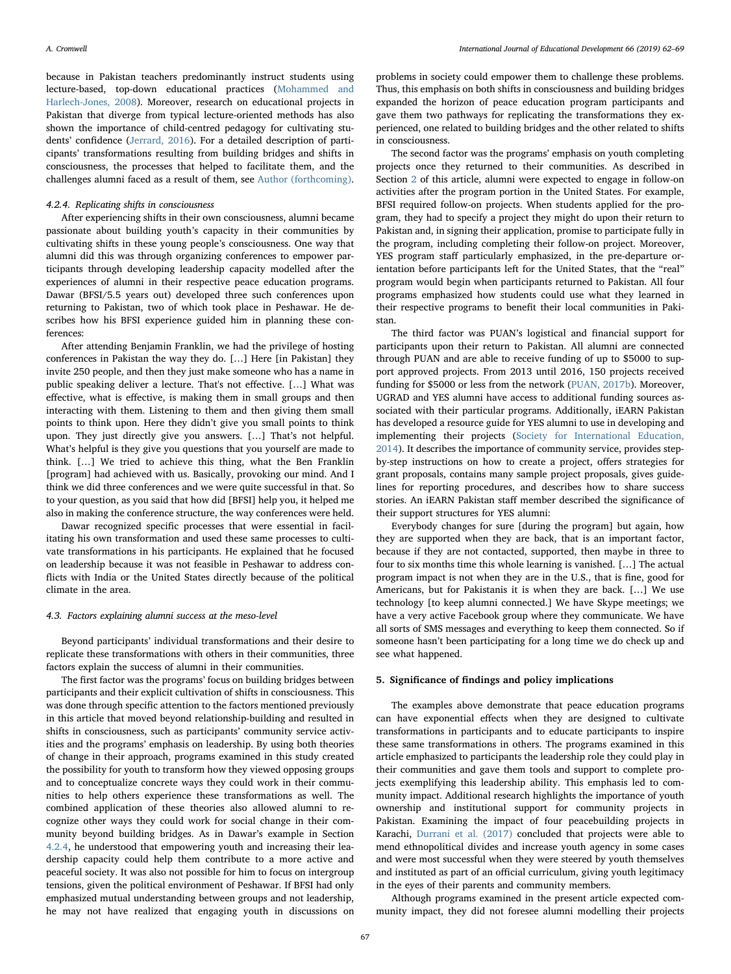because in Pakistan teachers predominantly instruct students using lecture-based, top-down educational practices [\(Mohammed and](#page-6-26) [Harlech-Jones, 2008](#page-6-26)). Moreover, research on educational projects in Pakistan that diverge from typical lecture-oriented methods has also shown the importance of child-centred pedagogy for cultivating students' confidence ([Jerrard, 2016\)](#page-6-27). For a detailed description of participants' transformations resulting from building bridges and shifts in consciousness, the processes that helped to facilitate them, and the challenges alumni faced as a result of them, see [Author \(forthcoming\)](#page-6-28).

## <span id="page-5-1"></span>4.2.4. Replicating shifts in consciousness

After experiencing shifts in their own consciousness, alumni became passionate about building youth's capacity in their communities by cultivating shifts in these young people's consciousness. One way that alumni did this was through organizing conferences to empower participants through developing leadership capacity modelled after the experiences of alumni in their respective peace education programs. Dawar (BFSI/5.5 years out) developed three such conferences upon returning to Pakistan, two of which took place in Peshawar. He describes how his BFSI experience guided him in planning these conferences:

After attending Benjamin Franklin, we had the privilege of hosting conferences in Pakistan the way they do. […] Here [in Pakistan] they invite 250 people, and then they just make someone who has a name in public speaking deliver a lecture. That's not effective. […] What was effective, what is effective, is making them in small groups and then interacting with them. Listening to them and then giving them small points to think upon. Here they didn't give you small points to think upon. They just directly give you answers. […] That's not helpful. What's helpful is they give you questions that you yourself are made to think. […] We tried to achieve this thing, what the Ben Franklin [program] had achieved with us. Basically, provoking our mind. And I think we did three conferences and we were quite successful in that. So to your question, as you said that how did [BFSI] help you, it helped me also in making the conference structure, the way conferences were held.

Dawar recognized specific processes that were essential in facilitating his own transformation and used these same processes to cultivate transformations in his participants. He explained that he focused on leadership because it was not feasible in Peshawar to address conflicts with India or the United States directly because of the political climate in the area.

#### <span id="page-5-0"></span>4.3. Factors explaining alumni success at the meso-level

Beyond participants' individual transformations and their desire to replicate these transformations with others in their communities, three factors explain the success of alumni in their communities.

The first factor was the programs' focus on building bridges between participants and their explicit cultivation of shifts in consciousness. This was done through specific attention to the factors mentioned previously in this article that moved beyond relationship-building and resulted in shifts in consciousness, such as participants' community service activities and the programs' emphasis on leadership. By using both theories of change in their approach, programs examined in this study created the possibility for youth to transform how they viewed opposing groups and to conceptualize concrete ways they could work in their communities to help others experience these transformations as well. The combined application of these theories also allowed alumni to recognize other ways they could work for social change in their community beyond building bridges. As in Dawar's example in Section [4.2.4,](#page-5-1) he understood that empowering youth and increasing their leadership capacity could help them contribute to a more active and peaceful society. It was also not possible for him to focus on intergroup tensions, given the political environment of Peshawar. If BFSI had only emphasized mutual understanding between groups and not leadership, he may not have realized that engaging youth in discussions on

problems in society could empower them to challenge these problems. Thus, this emphasis on both shifts in consciousness and building bridges expanded the horizon of peace education program participants and gave them two pathways for replicating the transformations they experienced, one related to building bridges and the other related to shifts in consciousness.

The second factor was the programs' emphasis on youth completing projects once they returned to their communities. As described in Section [2](#page-1-0) of this article, alumni were expected to engage in follow-on activities after the program portion in the United States. For example, BFSI required follow-on projects. When students applied for the program, they had to specify a project they might do upon their return to Pakistan and, in signing their application, promise to participate fully in the program, including completing their follow-on project. Moreover, YES program staff particularly emphasized, in the pre-departure orientation before participants left for the United States, that the "real" program would begin when participants returned to Pakistan. All four programs emphasized how students could use what they learned in their respective programs to benefit their local communities in Pakistan.

The third factor was PUAN's logistical and financial support for participants upon their return to Pakistan. All alumni are connected through PUAN and are able to receive funding of up to \$5000 to support approved projects. From 2013 until 2016, 150 projects received funding for \$5000 or less from the network ([PUAN, 2017b\)](#page-6-29). Moreover, UGRAD and YES alumni have access to additional funding sources associated with their particular programs. Additionally, iEARN Pakistan has developed a resource guide for YES alumni to use in developing and implementing their projects ([Society for International Education,](#page-7-16) [2014\)](#page-7-16). It describes the importance of community service, provides stepby-step instructions on how to create a project, offers strategies for grant proposals, contains many sample project proposals, gives guidelines for reporting procedures, and describes how to share success stories. An iEARN Pakistan staff member described the significance of their support structures for YES alumni:

Everybody changes for sure [during the program] but again, how they are supported when they are back, that is an important factor, because if they are not contacted, supported, then maybe in three to four to six months time this whole learning is vanished. […] The actual program impact is not when they are in the U.S., that is fine, good for Americans, but for Pakistanis it is when they are back. […] We use technology [to keep alumni connected.] We have Skype meetings; we have a very active Facebook group where they communicate. We have all sorts of SMS messages and everything to keep them connected. So if someone hasn't been participating for a long time we do check up and see what happened.

#### 5. Significance of findings and policy implications

The examples above demonstrate that peace education programs can have exponential effects when they are designed to cultivate transformations in participants and to educate participants to inspire these same transformations in others. The programs examined in this article emphasized to participants the leadership role they could play in their communities and gave them tools and support to complete projects exemplifying this leadership ability. This emphasis led to community impact. Additional research highlights the importance of youth ownership and institutional support for community projects in Pakistan. Examining the impact of four peacebuilding projects in Karachi, [Durrani et al. \(2017\)](#page-6-14) concluded that projects were able to mend ethnopolitical divides and increase youth agency in some cases and were most successful when they were steered by youth themselves and instituted as part of an official curriculum, giving youth legitimacy in the eyes of their parents and community members.

Although programs examined in the present article expected community impact, they did not foresee alumni modelling their projects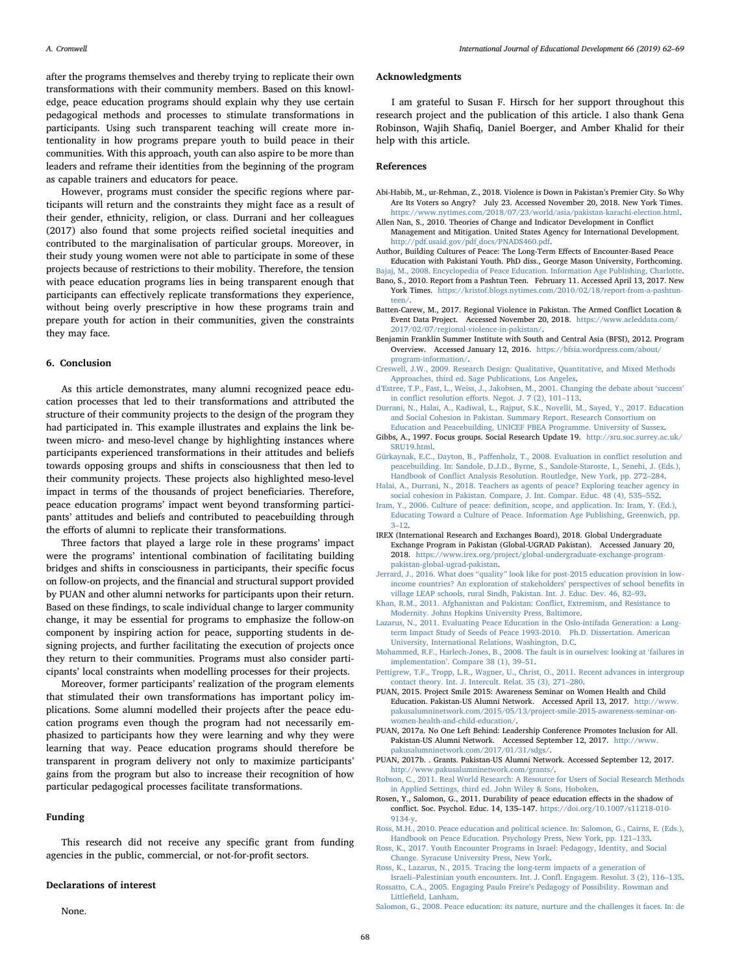A. Cromwell *International Journal of Educational Development 66 (2019) 62–69*

after the programs themselves and thereby trying to replicate their own transformations with their community members. Based on this knowledge, peace education programs should explain why they use certain pedagogical methods and processes to stimulate transformations in participants. Using such transparent teaching will create more intentionality in how programs prepare youth to build peace in their communities. With this approach, youth can also aspire to be more than leaders and reframe their identities from the beginning of the program as capable trainers and educators for peace.

However, programs must consider the specific regions where participants will return and the constraints they might face as a result of their gender, ethnicity, religion, or class. Durrani and her colleagues (2017) also found that some projects reified societal inequities and contributed to the marginalisation of particular groups. Moreover, in their study young women were not able to participate in some of these projects because of restrictions to their mobility. Therefore, the tension with peace education programs lies in being transparent enough that participants can effectively replicate transformations they experience, without being overly prescriptive in how these programs train and prepare youth for action in their communities, given the constraints they may face.

## 6. Conclusion

As this article demonstrates, many alumni recognized peace education processes that led to their transformations and attributed the structure of their community projects to the design of the program they had participated in. This example illustrates and explains the link between micro- and meso-level change by highlighting instances where participants experienced transformations in their attitudes and beliefs towards opposing groups and shifts in consciousness that then led to their community projects. These projects also highlighted meso-level impact in terms of the thousands of project beneficiaries. Therefore, peace education programs' impact went beyond transforming participants' attitudes and beliefs and contributed to peacebuilding through the efforts of alumni to replicate their transformations.

Three factors that played a large role in these programs' impact were the programs' intentional combination of facilitating building bridges and shifts in consciousness in participants, their specific focus on follow-on projects, and the financial and structural support provided by PUAN and other alumni networks for participants upon their return. Based on these findings, to scale individual change to larger community change, it may be essential for programs to emphasize the follow-on component by inspiring action for peace, supporting students in designing projects, and further facilitating the execution of projects once they return to their communities. Programs must also consider participants' local constraints when modelling processes for their projects.

Moreover, former participants' realization of the program elements that stimulated their own transformations has important policy implications. Some alumni modelled their projects after the peace education programs even though the program had not necessarily emphasized to participants how they were learning and why they were learning that way. Peace education programs should therefore be transparent in program delivery not only to maximize participants' gains from the program but also to increase their recognition of how particular pedagogical processes facilitate transformations.

## Funding

This research did not receive any specific grant from funding agencies in the public, commercial, or not-for-profit sectors.

## Declarations of interest

None.

#### Acknowledgments

I am grateful to Susan F. Hirsch for her support throughout this research project and the publication of this article. I also thank Gena Robinson, Wajih Shafiq, Daniel Boerger, and Amber Khalid for their help with this article.

## References

- <span id="page-6-15"></span>Abi-Habib, M., ur-Rehman, Z., 2018. Violence is Down in Pakistan's Premier City. So Why Are Its Voters so Angry? July 23. Accessed November 20, 2018. New York Times. <https://www.nytimes.com/2018/07/23/world/asia/pakistan-karachi-election.html>.
- <span id="page-6-7"></span>Allen Nan, S., 2010. Theories of Change and Indicator Development in Conflict Management and Mitigation. United States Agency for International Development. [http://pdf.usaid.gov/pdf\\_docs/PNADS460.pdf](http://pdf.usaid.gov/pdf_docs/PNADS460.pdf).
- <span id="page-6-28"></span>Author, Building Cultures of Peace: The Long-Term Effects of Encounter-Based Peace Education with Pakistani Youth. PhD diss., George Mason University, Forthcoming.
- <span id="page-6-23"></span><span id="page-6-10"></span>[Bajaj, M., 2008. Encyclopedia of Peace Education. Information Age Publishing, Charlotte.](http://refhub.elsevier.com/S0738-0593(18)30538-8/sbref0020) Bano, S., 2010. Report from a Pashtun Teen. February 11. Accessed April 13, 2017. New York Times. [https://kristof.blogs.nytimes.com/2010/02/18/report-from-a-pashtun](https://kristof.blogs.nytimes.com/2010/02/18/report-from-a-pashtun-teen/)[teen/.](https://kristof.blogs.nytimes.com/2010/02/18/report-from-a-pashtun-teen/)
- <span id="page-6-16"></span>Batten-Carew, M., 2017. Regional Violence in Pakistan. The Armed Conflict Location & Event Data Project. Accessed November 20, 2018. [https://www.acleddata.com/](https://www.acleddata.com/2017/02/07/regional-violence-in-pakistan/) [2017/02/07/regional-violence-in-pakistan/.](https://www.acleddata.com/2017/02/07/regional-violence-in-pakistan/)
- <span id="page-6-12"></span>Benjamin Franklin Summer Institute with South and Central Asia (BFSI), 2012. Program Overview. Accessed January 12, 2016. [https://bfsia.wordpress.com/about/](https://bfsia.wordpress.com/about/program-information/) [program-information/](https://bfsia.wordpress.com/about/program-information/).
- <span id="page-6-18"></span>[Creswell, J.W., 2009. Research Design: Qualitative, Quantitative, and Mixed Methods](http://refhub.elsevier.com/S0738-0593(18)30538-8/sbref0040) [Approaches, third ed. Sage Publications, Los Angeles](http://refhub.elsevier.com/S0738-0593(18)30538-8/sbref0040).
- <span id="page-6-6"></span>d'[Estree, T.P., Fast, L., Weiss, J., Jakobsen, M., 2001. Changing the debate about](http://refhub.elsevier.com/S0738-0593(18)30538-8/sbref0045) 'success' in conflict resolution eff[orts. Negot. J. 7 \(2\), 101](http://refhub.elsevier.com/S0738-0593(18)30538-8/sbref0045)–113.
- <span id="page-6-14"></span>[Durrani, N., Halai, A., Kadiwal, L., Rajput, S.K., Novelli, M., Sayed, Y., 2017. Education](http://refhub.elsevier.com/S0738-0593(18)30538-8/sbref0050) [and Social Cohesion in Pakistan. Summary Report. Research Consortium on](http://refhub.elsevier.com/S0738-0593(18)30538-8/sbref0050) [Education and Peacebuilding, UNICEF PBEA Programme. University of Sussex](http://refhub.elsevier.com/S0738-0593(18)30538-8/sbref0050).
- <span id="page-6-17"></span>Gibbs, A., 1997. Focus groups. Social Research Update 19. [http://sru.soc.surrey.ac.uk/](http://sru.soc.surrey.ac.uk/SRU19.html) [SRU19.html.](http://sru.soc.surrey.ac.uk/SRU19.html)
- <span id="page-6-2"></span>Gürkaynak, E.C., Dayton, B., Paff[enholz, T., 2008. Evaluation in con](http://refhub.elsevier.com/S0738-0593(18)30538-8/sbref0060)flict resolution and [peacebuilding. In: Sandole, D.J.D., Byrne, S., Sandole-Staroste, I., Senehi, J. \(Eds.\),](http://refhub.elsevier.com/S0738-0593(18)30538-8/sbref0060) Handbook of Confl[ict Analysis Resolution. Routledge, New York, pp. 272](http://refhub.elsevier.com/S0738-0593(18)30538-8/sbref0060)–284.
- <span id="page-6-21"></span>[Halai, A., Durrani, N., 2018. Teachers as agents of peace? Exploring teacher agency in](http://refhub.elsevier.com/S0738-0593(18)30538-8/sbref0065) [social cohesion in Pakistan. Compare, J. Int. Compar. Educ. 48 \(4\), 535](http://refhub.elsevier.com/S0738-0593(18)30538-8/sbref0065)–552.
- <span id="page-6-8"></span>Iram, Y., 2006. Culture of peace: defi[nition, scope, and application. In: Iram, Y. \(Ed.\),](http://refhub.elsevier.com/S0738-0593(18)30538-8/sbref0070) [Educating Toward a Culture of Peace. Information Age Publishing, Greenwich, pp.](http://refhub.elsevier.com/S0738-0593(18)30538-8/sbref0070) 3–[12.](http://refhub.elsevier.com/S0738-0593(18)30538-8/sbref0070)
- <span id="page-6-13"></span>IREX (International Research and Exchanges Board), 2018. Global Undergraduate Exchange Program in Pakistan (Global-UGRAD Pakistan). Accessed January 20, 2018. [https://www.irex.org/project/global-undergraduate-exchange-program](https://www.irex.org/project/global-undergraduate-exchange-program-pakistan-global-ugrad-pakistan)[pakistan-global-ugrad-pakistan.](https://www.irex.org/project/global-undergraduate-exchange-program-pakistan-global-ugrad-pakistan)
- <span id="page-6-27"></span>Jerrard, J., 2016. What does "quality" [look like for post-2015 education provision in low](http://refhub.elsevier.com/S0738-0593(18)30538-8/sbref0080)[income countries? An exploration of stakeholders](http://refhub.elsevier.com/S0738-0593(18)30538-8/sbref0080)' perspectives of school benefits in [village LEAP schools, rural Sindh, Pakistan. Int. J. Educ. Dev. 46, 82](http://refhub.elsevier.com/S0738-0593(18)30538-8/sbref0080)–93.
- <span id="page-6-20"></span>Khan, [R.M., 2011. Afghanistan and Pakistan: Con](http://refhub.elsevier.com/S0738-0593(18)30538-8/sbref0085)flict, Extremism, and Resistance to [Modernity. Johns Hopkins University Press, Baltimore.](http://refhub.elsevier.com/S0738-0593(18)30538-8/sbref0085)
- <span id="page-6-3"></span>[Lazarus, N., 2011. Evaluating Peace Education in the Oslo-intifada Generation: a Long](http://refhub.elsevier.com/S0738-0593(18)30538-8/sbref0090)[term Impact Study of Seeds of Peace 1993-2010. Ph.D. Dissertation. American](http://refhub.elsevier.com/S0738-0593(18)30538-8/sbref0090) [University, International Relations, Washington, D.C](http://refhub.elsevier.com/S0738-0593(18)30538-8/sbref0090).
- <span id="page-6-26"></span>[Mohammed, R.F., Harlech-Jones, B., 2008. The fault is in ourselves: looking at](http://refhub.elsevier.com/S0738-0593(18)30538-8/sbref0095) 'failures in implementation'[. Compare 38 \(1\), 39](http://refhub.elsevier.com/S0738-0593(18)30538-8/sbref0095)–51.
- <span id="page-6-22"></span>[Pettigrew, T.F., Tropp, L.R., Wagner, U., Christ, O., 2011. Recent advances in intergroup](http://refhub.elsevier.com/S0738-0593(18)30538-8/sbref0100) [contact theory. Int. J. Intercult. Relat. 35 \(3\), 271](http://refhub.elsevier.com/S0738-0593(18)30538-8/sbref0100)–280.
- <span id="page-6-24"></span>PUAN, 2015. Project Smile 2015: Awareness Seminar on Women Health and Child Education. Pakistan-US Alumni Network. Accessed April 13, 2017. [http://www.](http://www.pakusalumninetwork.com/2015/05/13/project-smile-2015-awareness-seminar-on-women-health-and-child-education/) [pakusalumninetwork.com/2015/05/13/project-smile-2015-awareness-seminar-on](http://www.pakusalumninetwork.com/2015/05/13/project-smile-2015-awareness-seminar-on-women-health-and-child-education/)[women-health-and-child-education/](http://www.pakusalumninetwork.com/2015/05/13/project-smile-2015-awareness-seminar-on-women-health-and-child-education/).
- <span id="page-6-25"></span>PUAN, 2017a. No One Left Behind: Leadership Conference Promotes Inclusion for All. Pakistan-US Alumni Network. Accessed September 12, 2017. [http://www.](http://www.pakusalumninetwork.com/2017/01/31/sdgs/) [pakusalumninetwork.com/2017/01/31/sdgs/.](http://www.pakusalumninetwork.com/2017/01/31/sdgs/)
- <span id="page-6-29"></span>PUAN, 2017b. . Grants. Pakistan-US Alumni Network. Accessed September 12, 2017. [http://www.pakusalumninetwork.com/grants/.](http://www.pakusalumninetwork.com/grants/)
- <span id="page-6-19"></span>[Robson, C., 2011. Real World Research: A Resource for Users of Social Research Methods](http://refhub.elsevier.com/S0738-0593(18)30538-8/sbref0120) [in Applied Settings, third ed. John Wiley & Sons, Hoboken](http://refhub.elsevier.com/S0738-0593(18)30538-8/sbref0120).
- <span id="page-6-0"></span>Rosen, Y., Salomon, G., 2011. Durability of peace education effects in the shadow of conflict. Soc. Psychol. Educ. 14, 135–147. [https://doi.org/10.1007/s11218-010-](https://doi.org/10.1007/s11218-010-9134-y) [9134-y](https://doi.org/10.1007/s11218-010-9134-y).
- <span id="page-6-1"></span>[Ross, M.H., 2010. Peace education and political science. In: Salomon, G., Cairns, E. \(Eds.\),](http://refhub.elsevier.com/S0738-0593(18)30538-8/sbref0130) [Handbook on Peace Education. Psychology Press, New York, pp. 121](http://refhub.elsevier.com/S0738-0593(18)30538-8/sbref0130)–133.
- <span id="page-6-4"></span>[Ross, K., 2017. Youth Encounter Programs in Israel: Pedagogy, Identity, and Social](http://refhub.elsevier.com/S0738-0593(18)30538-8/sbref0135) [Change. Syracuse University Press, New York.](http://refhub.elsevier.com/S0738-0593(18)30538-8/sbref0135)
- <span id="page-6-5"></span>[Ross, K., Lazarus, N., 2015. Tracing the long-term impacts of a generation of](http://refhub.elsevier.com/S0738-0593(18)30538-8/sbref0140)
- <span id="page-6-11"></span>Israeli–[Palestinian youth encounters. Int. J. Con](http://refhub.elsevier.com/S0738-0593(18)30538-8/sbref0140)fl. Engagem. Resolut. 3 (2), 116–135. [Rossatto, C.A., 2005. Engaging Paulo Freire](http://refhub.elsevier.com/S0738-0593(18)30538-8/sbref0145)'s Pedagogy of Possibility. Rowman and Littlefi[eld, Lanham](http://refhub.elsevier.com/S0738-0593(18)30538-8/sbref0145).
- <span id="page-6-9"></span>[Salomon, G., 2008. Peace education: its nature, nurture and the challenges it faces. In: de](http://refhub.elsevier.com/S0738-0593(18)30538-8/sbref0150)